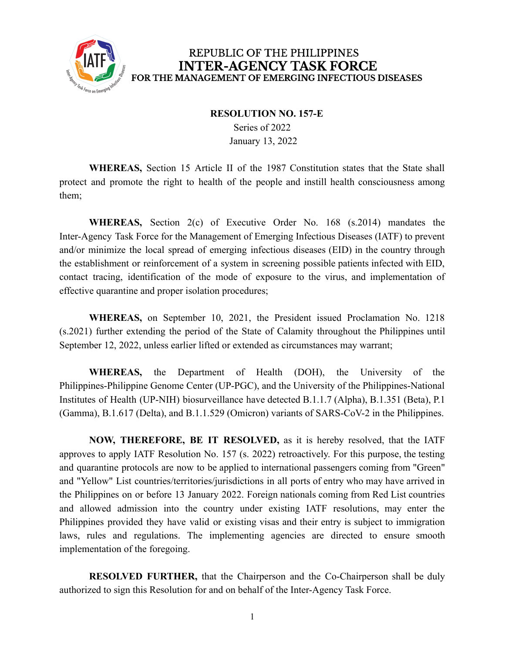

## REPUBLIC OF THE PHILIPPINES **INTER-AGENCY TASK FORCE** FOR THE MANAGEMENT OF EMERGING INFECTIOUS DISEASES

## **RESOLUTION NO. 157-E**

Series of 2022 January 13, 2022

**WHEREAS,** Section 15 Article II of the 1987 Constitution states that the State shall protect and promote the right to health of the people and instill health consciousness among them;

**WHEREAS,** Section 2(c) of Executive Order No. 168 (s.2014) mandates the Inter-Agency Task Force for the Management of Emerging Infectious Diseases (IATF) to prevent and/or minimize the local spread of emerging infectious diseases (EID) in the country through the establishment or reinforcement of a system in screening possible patients infected with EID, contact tracing, identification of the mode of exposure to the virus, and implementation of effective quarantine and proper isolation procedures;

**WHEREAS,** on September 10, 2021, the President issued Proclamation No. 1218 (s.2021) further extending the period of the State of Calamity throughout the Philippines until September 12, 2022, unless earlier lifted or extended as circumstances may warrant;

**WHEREAS,** the Department of Health (DOH), the University of the Philippines-Philippine Genome Center (UP-PGC), and the University of the Philippines-National Institutes of Health (UP-NIH) biosurveillance have detected B.1.1.7 (Alpha), B.1.351 (Beta), P.1 (Gamma), B.1.617 (Delta), and B.1.1.529 (Omicron) variants of SARS-CoV-2 in the Philippines.

**NOW, THEREFORE, BE IT RESOLVED,** as it is hereby resolved, that the IATF approves to apply IATF Resolution No. 157 (s. 2022) retroactively. For this purpose, the testing and quarantine protocols are now to be applied to international passengers coming from "Green" and "Yellow" List countries/territories/jurisdictions in all ports of entry who may have arrived in the Philippines on or before 13 January 2022. Foreign nationals coming from Red List countries and allowed admission into the country under existing IATF resolutions, may enter the Philippines provided they have valid or existing visas and their entry is subject to immigration laws, rules and regulations. The implementing agencies are directed to ensure smooth implementation of the foregoing.

**RESOLVED FURTHER,** that the Chairperson and the Co-Chairperson shall be duly authorized to sign this Resolution for and on behalf of the Inter-Agency Task Force.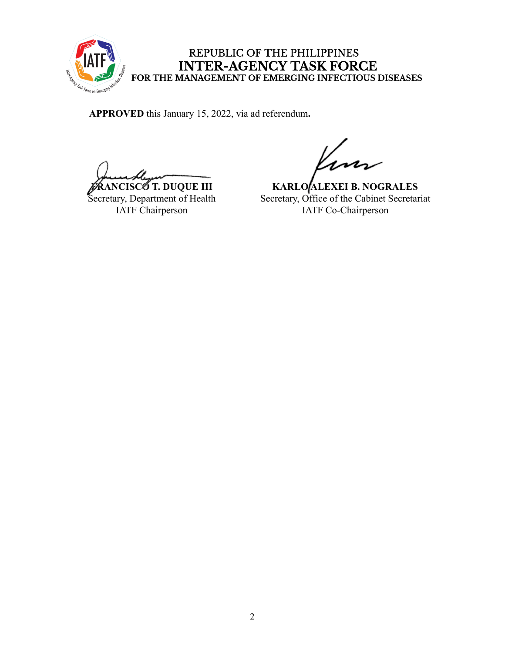

## REPUBLIC OF THE PHILIPPINES INTER-AGENCY TASK FORCE<br>FOR THE MANAGEMENT OF EMERGING INFECTIOUS DISEASES

**APPROVED** this January 15, 2022, via ad referendum**.**

**FRANCISCO T. DUQUE III**

Secretary, Department of Health IATF Chairperson

**KARLO ALEXEI B. NOGRALES** Secretary, Office of the Cabinet Secretariat IATF Co-Chairperson